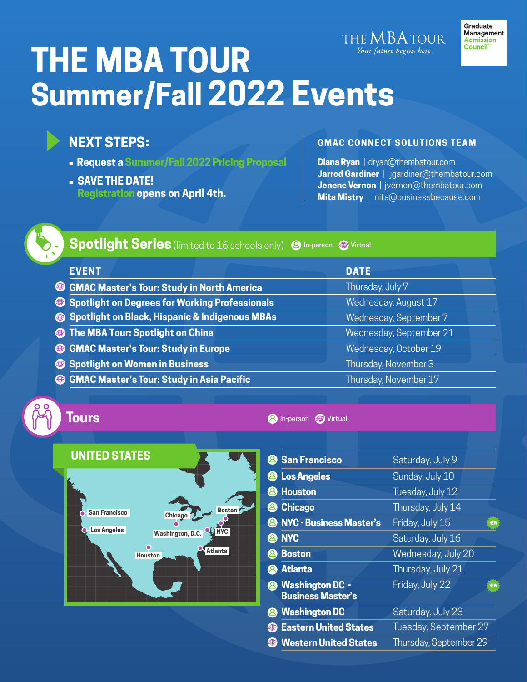# THE MBATOUR Your future begins here **THE MBA TOUR Summer/Fall 2022 Events**

## **NEXT STEPS:**

- **• Request a Summer/Fal[l 2022 Pricing Proposal](https://form.jotform.com/220373561731451)**
- **• SAVE THE DATE! [Registration](https://thembatour.com/universityArea/TourRegistration.jsp) opens on April 4th.**

### **GMAC CONNECT SOLUTIONS TEAM**

Graduate Management

Admission<br>Council<sup>\*\*</sup>

**Diana Ryan** | [dryan@thembatour.com](mailto:dryan@thembatour.com) **Jarrod Gardiner** | [jgardiner@thembatour.com](mailto:jgardiner@thembatour.com) **Jenene Vernon** | [jvernon@thembatour.com](mailto:jvernon@thembatour.com) **Mita Mistry** | [mita@businessbecause.com](mailto:mita@businessbecause.com)



**Spotlight Series** (limited to 16 schools only) @ In-person @ Virtual

| <b>EVENT</b>                                        | <b>DATE</b>             |
|-----------------------------------------------------|-------------------------|
| <b>SCINAC Master's Tour: Study in North America</b> | Thursday, July 7        |
| Spotlight on Degrees for Working Professionals      | Wednesday, August 17    |
| Spotlight on Black, Hispanic & Indigenous MBAs      | Wednesday, September 7  |
| The MBA Tour: Spotlight on China                    | Wednesday, September 21 |
| <b>SIMAC Master's Tour: Study in Europe</b>         | Wednesday, October 19   |
| Spotlight on Women in Business                      | Thursday, November 3    |
| <b>SIGNAC Master's Tour: Study in Asia Pacific</b>  | Thursday, November 17   |

# **Tours**

#### **2** In-person **C** Virtual



|   | <b>San Francisco</b>                               | Saturday, July 9       |            |
|---|----------------------------------------------------|------------------------|------------|
| 2 | <b>Los Angeles</b>                                 | Sunday, July 10        |            |
| 2 | <b>Houston</b>                                     | Tuesday, July 12       |            |
|   | <b>Chicago</b>                                     | Thursday, July 14      |            |
|   | <b>NYC - Business Master's</b>                     | Friday, July 15        | <b>NEW</b> |
|   | <b>NYC</b>                                         | Saturday, July 16      |            |
|   | <b>Boston</b>                                      | Wednesday, July 20     |            |
|   | <b>Atlanta</b>                                     | Thursday, July 21      |            |
|   | <b>Washington DC -</b><br><b>Business Master's</b> | Friday, July 22        | <b>NEW</b> |
|   | <b>Washington DC</b>                               | Saturday, July 23      |            |
| 4 | <b>Eastern United States</b>                       | Tuesday, September 27  |            |
| 4 | <b>Western United States</b>                       | Thursday, September 29 |            |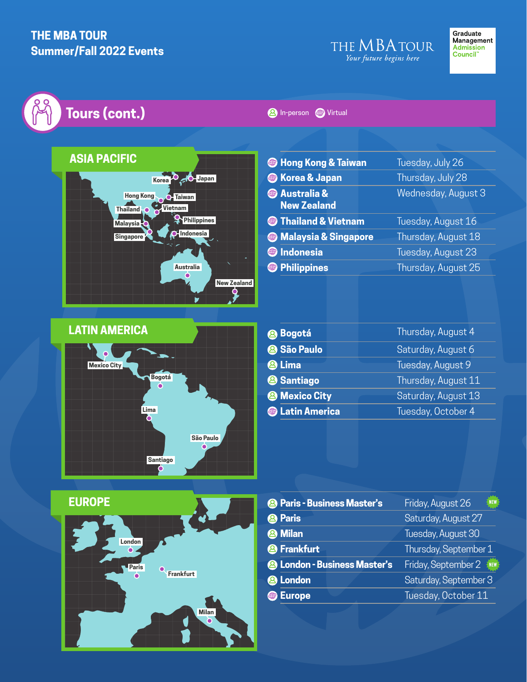## **THE MBA TOUR Summer/Fall 2022 Events**

# **Tours (cont.)**



### **2** In-person **C** Virtual

|   | <b>B</b> Hong Kong & Taiwan                |  | Tuesday, July 26    |
|---|--------------------------------------------|--|---------------------|
|   | <b>&amp; Korea &amp; Japan</b>             |  | Thursday, July 28   |
|   | <b>@</b> Australia &<br><b>New Zealand</b> |  | Wednesday, August 3 |
|   | <b>Status</b> Thailand & Vietnam           |  | Tuesday, August 16  |
|   | <b>Standarysia &amp; Singapore</b>         |  | Thursday, August 18 |
| 4 | <b>Indonesia</b>                           |  | Tuesday, August 23  |
| 4 | <b>Philippines</b>                         |  | Thursday, August 25 |
|   |                                            |  |                     |

| <b>LATIN AMERICA</b>                                                |           |
|---------------------------------------------------------------------|-----------|
| $\mathbf \cdot$<br><b>Mexico City</b><br><b>Bogotá</b><br>۵<br>Lima |           |
|                                                                     |           |
|                                                                     | São Paulo |
| <b>Santiago</b>                                                     |           |

| <b>Bogotá</b>              | Thursday, August 4  |  |
|----------------------------|---------------------|--|
| <sup>2</sup> São Paulo     | Saturday, August 6  |  |
| <sup>®</sup> Lima          | Tuesday, August 9   |  |
| <sup>2</sup> Santiago      | Thursday, August 11 |  |
| <sup>2</sup> Mexico City   | Saturday, August 13 |  |
| <b>&amp; Latin America</b> | Tuesday, October 4  |  |



|   | <sup>2</sup> Paris - Business Master's         | Friday, August 26<br><b>NEW</b> |
|---|------------------------------------------------|---------------------------------|
|   | <b>Paris</b>                                   | Saturday, August 27             |
| 2 | <b>Milan</b>                                   | Tuesday, August 30              |
|   | <sup>8</sup> Frankfurt                         | Thursday, September 1           |
|   | <b><sup>2</sup> London - Business Master's</b> | Friday, September 2             |
|   | <sup>2</sup> London                            | Saturday, September 3           |
| 4 | <b>Europe</b>                                  | Tuesday, October 11             |
|   |                                                |                                 |